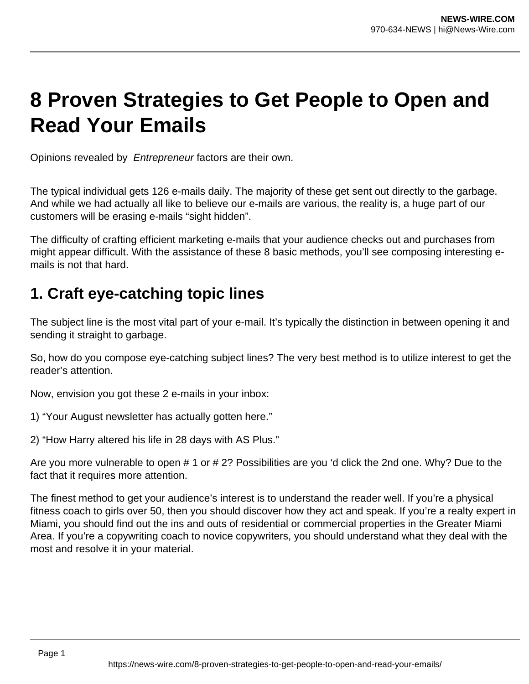# **8 Proven Strategies to Get People to Open and Read Your Emails**

Opinions revealed by Entrepreneur factors are their own.

The typical individual gets 126 e-mails daily. The majority of these get sent out directly to the garbage. And while we had actually all like to believe our e-mails are various, the reality is, a huge part of our customers will be erasing e-mails "sight hidden".

The difficulty of crafting efficient marketing e-mails that your audience checks out and purchases from might appear difficult. With the assistance of these 8 basic methods, you'll see composing interesting emails is not that hard.

## **1. Craft eye-catching topic lines**

The subject line is the most vital part of your e-mail. It's typically the distinction in between opening it and sending it straight to garbage.

So, how do you compose eye-catching subject lines? The very best method is to utilize interest to get the reader's attention.

Now, envision you got these 2 e-mails in your inbox:

1) "Your August newsletter has actually gotten here."

2) "How Harry altered his life in 28 days with AS Plus."

Are you more vulnerable to open # 1 or # 2? Possibilities are you 'd click the 2nd one. Why? Due to the fact that it requires more attention.

The finest method to get your audience's interest is to understand the reader well. If you're a physical fitness coach to girls over 50, then you should discover how they act and speak. If you're a realty expert in Miami, you should find out the ins and outs of residential or commercial properties in the Greater Miami Area. If you're a copywriting coach to novice copywriters, you should understand what they deal with the most and resolve it in your material.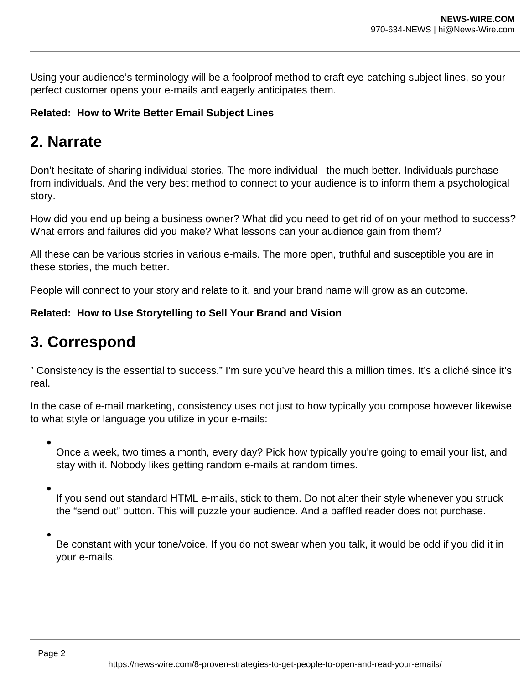Using your audience's terminology will be a foolproof method to craft eye-catching subject lines, so your perfect customer opens your e-mails and eagerly anticipates them.

#### **Related: How to Write Better Email Subject Lines**

# **2. Narrate**

Don't hesitate of sharing individual stories. The more individual– the much better. Individuals purchase from individuals. And the very best method to connect to your audience is to inform them a psychological story.

How did you end up being a business owner? What did you need to get rid of on your method to success? What errors and failures did you make? What lessons can your audience gain from them?

All these can be various stories in various e-mails. The more open, truthful and susceptible you are in these stories, the much better.

People will connect to your story and relate to it, and your brand name will grow as an outcome.

#### **Related: How to Use Storytelling to Sell Your Brand and Vision**

# **3. Correspond**

" Consistency is the essential to success." I'm sure you've heard this a million times. It's a cliché since it's real.

In the case of e-mail marketing, consistency uses not just to how typically you compose however likewise to what style or language you utilize in your e-mails:

Once a week, two times a month, every day? Pick how typically you're going to email your list, and stay with it. Nobody likes getting random e-mails at random times.

If you send out standard HTML e-mails, stick to them. Do not alter their style whenever you struck the "send out" button. This will puzzle your audience. And a baffled reader does not purchase.

Be constant with your tone/voice. If you do not swear when you talk, it would be odd if you did it in your e-mails.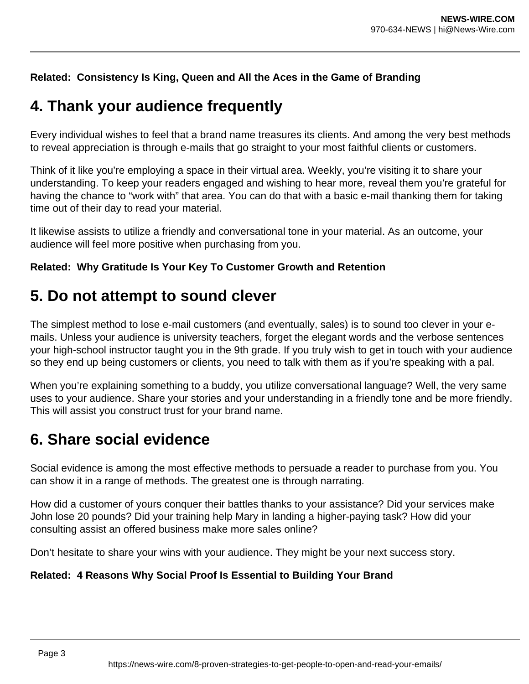#### **Related: Consistency Is King, Queen and All the Aces in the Game of Branding**

### **4. Thank your audience frequently**

Every individual wishes to feel that a brand name treasures its clients. And among the very best methods to reveal appreciation is through e-mails that go straight to your most faithful clients or customers.

Think of it like you're employing a space in their virtual area. Weekly, you're visiting it to share your understanding. To keep your readers engaged and wishing to hear more, reveal them you're grateful for having the chance to "work with" that area. You can do that with a basic e-mail thanking them for taking time out of their day to read your material.

It likewise assists to utilize a friendly and conversational tone in your material. As an outcome, your audience will feel more positive when purchasing from you.

#### **Related: Why Gratitude Is Your Key To Customer Growth and Retention**

### **5. Do not attempt to sound clever**

The simplest method to lose e-mail customers (and eventually, sales) is to sound too clever in your emails. Unless your audience is university teachers, forget the elegant words and the verbose sentences your high-school instructor taught you in the 9th grade. If you truly wish to get in touch with your audience so they end up being customers or clients, you need to talk with them as if you're speaking with a pal.

When you're explaining something to a buddy, you utilize conversational language? Well, the very same uses to your audience. Share your stories and your understanding in a friendly tone and be more friendly. This will assist you construct trust for your brand name.

# **6. Share social evidence**

Social evidence is among the most effective methods to persuade a reader to purchase from you. You can show it in a range of methods. The greatest one is through narrating.

How did a customer of yours conquer their battles thanks to your assistance? Did your services make John lose 20 pounds? Did your training help Mary in landing a higher-paying task? How did your consulting assist an offered business make more sales online?

Don't hesitate to share your wins with your audience. They might be your next success story.

#### **Related: 4 Reasons Why Social Proof Is Essential to Building Your Brand**